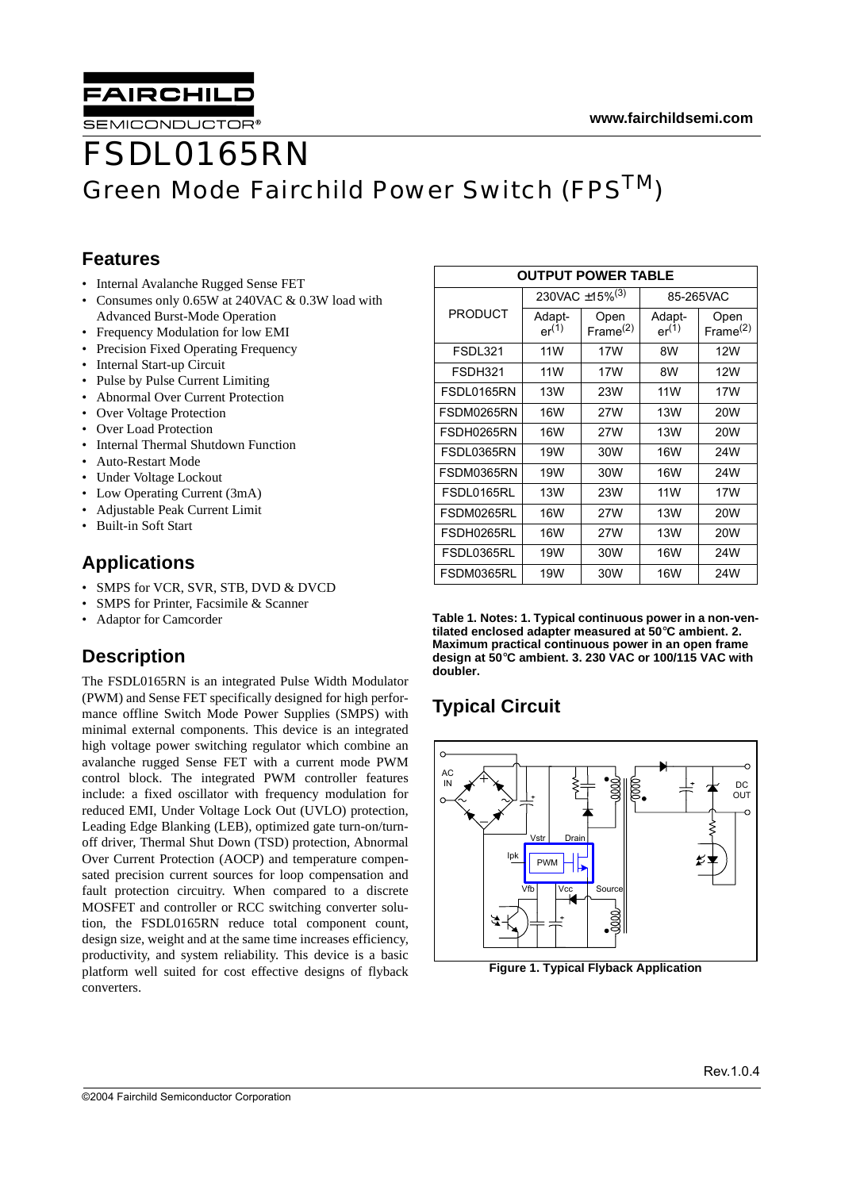



SEMICONDUCTOR

# FSDL0165RN Green Mode Fairchild Power Switch (FPS<sup>TM</sup>)

#### **Features**

- Internal Avalanche Rugged Sense FET
- Consumes only 0.65W at 240VAC & 0.3W load with Advanced Burst-Mode Operation
- Frequency Modulation for low EMI
- Precision Fixed Operating Frequency
- Internal Start-up Circuit
- Pulse by Pulse Current Limiting
- Abnormal Over Current Protection
- Over Voltage Protection
- Over Load Protection
- Internal Thermal Shutdown Function
- Auto-Restart Mode
- Under Voltage Lockout
- Low Operating Current (3mA)
- Adjustable Peak Current Limit
- Built-in Soft Start

### **Applications**

- SMPS for VCR, SVR, STB, DVD & DVCD
- SMPS for Printer, Facsimile & Scanner
- Adaptor for Camcorder

### **Description**

The FSDL0165RN is an integrated Pulse Width Modulator (PWM) and Sense FET specifically designed for high performance offline Switch Mode Power Supplies (SMPS) with minimal external components. This device is an integrated high voltage power switching regulator which combine an avalanche rugged Sense FET with a current mode PWM control block. The integrated PWM controller features include: a fixed oscillator with frequency modulation for reduced EMI, Under Voltage Lock Out (UVLO) protection, Leading Edge Blanking (LEB), optimized gate turn-on/turnoff driver, Thermal Shut Down (TSD) protection, Abnormal Over Current Protection (AOCP) and temperature compensated precision current sources for loop compensation and fault protection circuitry. When compared to a discrete MOSFET and controller or RCC switching converter solution, the FSDL0165RN reduce total component count, design size, weight and at the same time increases efficiency, productivity, and system reliability. This device is a basic platform well suited for cost effective designs of flyback converters.

| <b>OUTPUT POWER TABLE</b> |                      |                            |                      |                              |  |  |
|---------------------------|----------------------|----------------------------|----------------------|------------------------------|--|--|
|                           |                      | 230VAC ±15% <sup>(3)</sup> | 85-265VAC            |                              |  |  |
| <b>PRODUCT</b>            | Adapt-<br>$er^{(1)}$ | Open<br>Frame $(2)$        | Adapt-<br>$er^{(1)}$ | Open<br>Frame <sup>(2)</sup> |  |  |
| FSDL321                   | 11W                  | 17W                        | 8W                   | 12W                          |  |  |
| FSDH321                   | 11 W                 | 17W                        | 8W                   | 12W                          |  |  |
| FSDL0165RN                | 13W                  | 23W                        | 11W                  | 17W                          |  |  |
| FSDM0265RN                | 16W                  | 27W                        | 13W                  | 20W                          |  |  |
| FSDH0265RN                | 16W                  | 27W                        | 13W                  | 20W                          |  |  |
| FSDL0365RN                | 19W                  | 30W                        | 16W                  | 24W                          |  |  |
| FSDM0365RN                | 19W                  | 30W                        | 16W                  | 24W                          |  |  |
| FSDL0165RL                | 13W                  | 23W                        | 11W                  | 17W                          |  |  |
| FSDM0265RL                | 16W                  | 27W                        | 13W                  | 20W                          |  |  |
| FSDH0265RL                | 16W                  | 27W                        | 13W                  | 20W                          |  |  |
| FSDL0365RL                | 19W                  | 30W                        | 16W                  | 24W                          |  |  |
| FSDM0365RL                | 19W                  | 30W                        | 16W                  | 24W                          |  |  |

**Table 1. Notes: 1. Typical continuous power in a non-ventilated enclosed adapter measured at 50**°**C ambient. 2. Maximum practical continuous power in an open frame design at 50**°**C ambient. 3. 230 VAC or 100/115 VAC with doubler.**

### **Typical Circuit**



**Figure 1. Typical Flyback Application**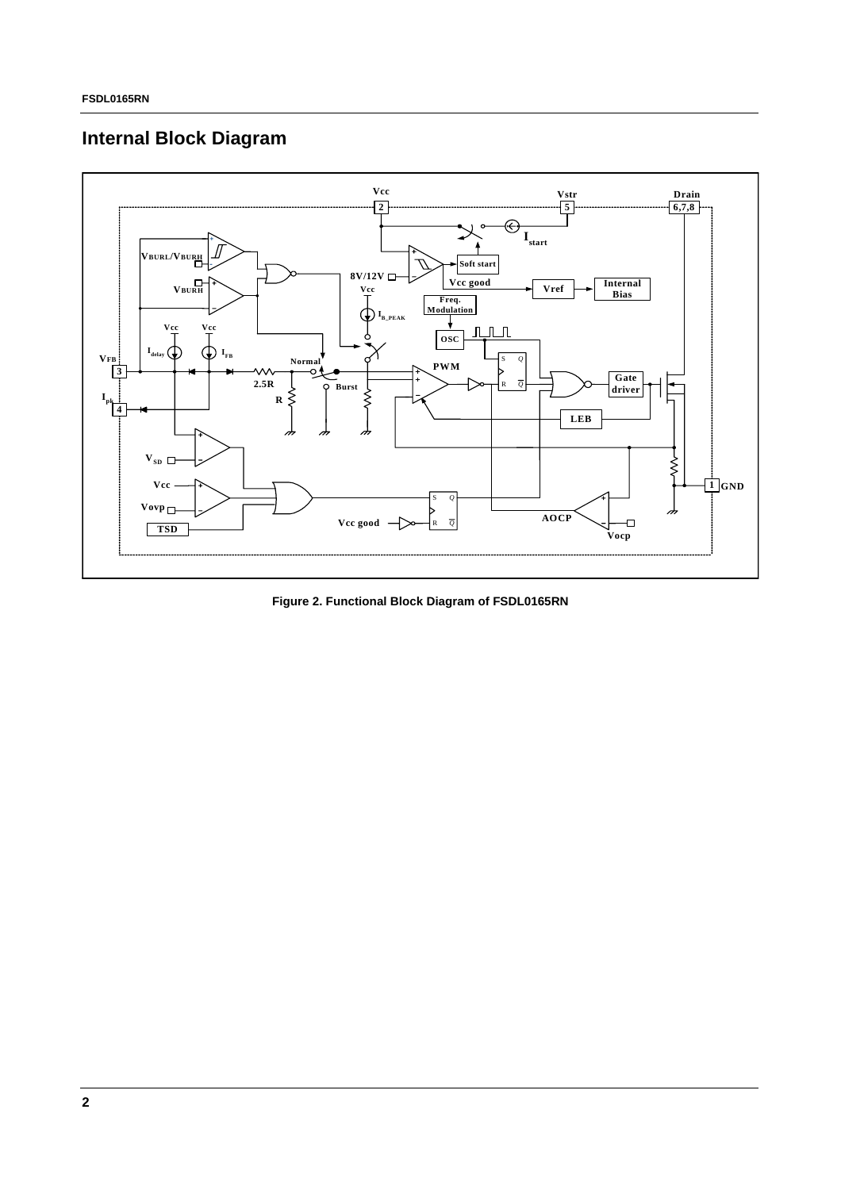### **Internal Block Diagram**



**Figure 2. Functional Block Diagram of FSDL0165RN**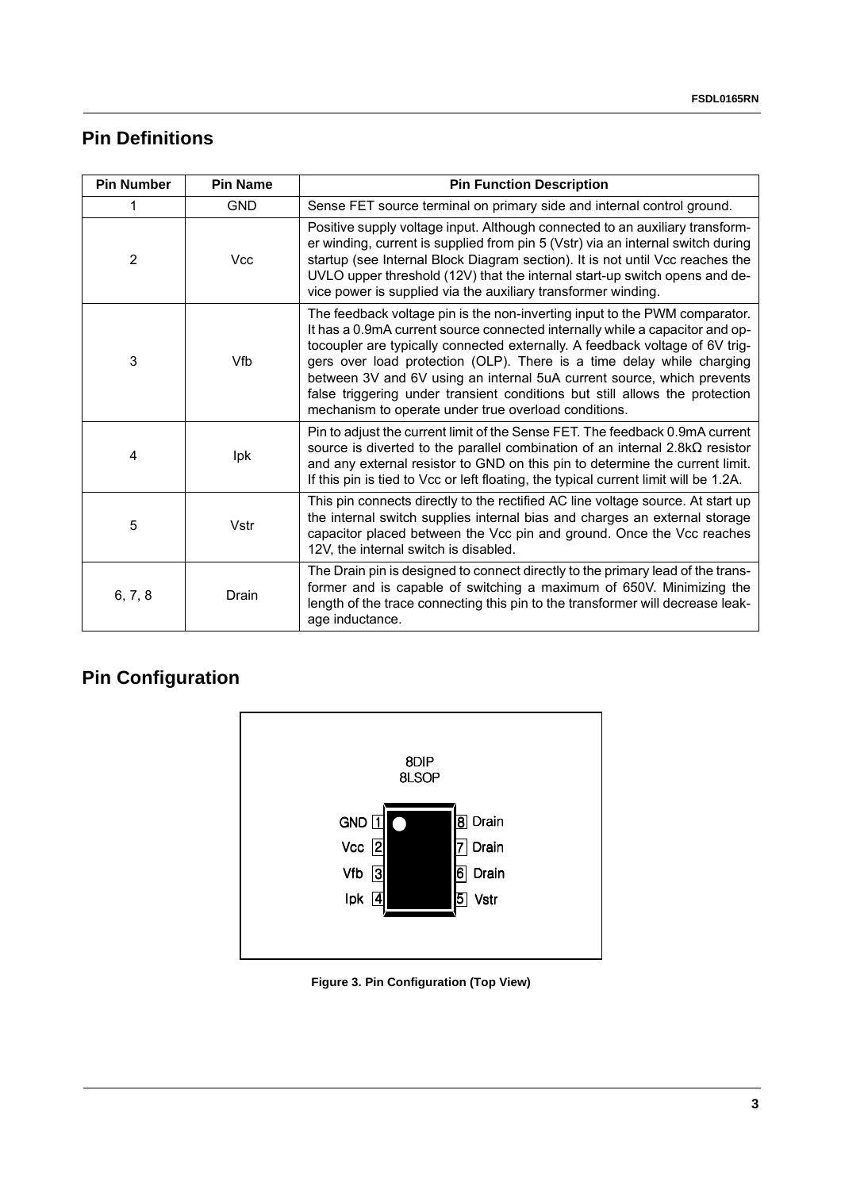### **Pin Definitions**

| <b>Pin Number</b> | <b>Pin Name</b> | <b>Pin Function Description</b>                                                                                                                                                                                                                                                                                                                                                                                                                                                                                                      |
|-------------------|-----------------|--------------------------------------------------------------------------------------------------------------------------------------------------------------------------------------------------------------------------------------------------------------------------------------------------------------------------------------------------------------------------------------------------------------------------------------------------------------------------------------------------------------------------------------|
|                   | <b>GND</b>      | Sense FET source terminal on primary side and internal control ground.                                                                                                                                                                                                                                                                                                                                                                                                                                                               |
| 2                 | <b>Vcc</b>      | Positive supply voltage input. Although connected to an auxiliary transform-<br>er winding, current is supplied from pin 5 (Vstr) via an internal switch during<br>startup (see Internal Block Diagram section). It is not until Vcc reaches the<br>UVLO upper threshold (12V) that the internal start-up switch opens and de-<br>vice power is supplied via the auxiliary transformer winding.                                                                                                                                      |
| 3                 | Vfb             | The feedback voltage pin is the non-inverting input to the PWM comparator.<br>It has a 0.9mA current source connected internally while a capacitor and op-<br>tocoupler are typically connected externally. A feedback voltage of 6V trig-<br>gers over load protection (OLP). There is a time delay while charging<br>between 3V and 6V using an internal 5uA current source, which prevents<br>false triggering under transient conditions but still allows the protection<br>mechanism to operate under true overload conditions. |
| 4                 | Ipk             | Pin to adjust the current limit of the Sense FET. The feedback 0.9mA current<br>source is diverted to the parallel combination of an internal $2.8k\Omega$ resistor<br>and any external resistor to GND on this pin to determine the current limit.<br>If this pin is tied to Vcc or left floating, the typical current limit will be 1.2A.                                                                                                                                                                                          |
| 5                 | Vstr            | This pin connects directly to the rectified AC line voltage source. At start up<br>the internal switch supplies internal bias and charges an external storage<br>capacitor placed between the Vcc pin and ground. Once the Vcc reaches<br>12V, the internal switch is disabled.                                                                                                                                                                                                                                                      |
| 6, 7, 8           | Drain           | The Drain pin is designed to connect directly to the primary lead of the trans-<br>former and is capable of switching a maximum of 650V. Minimizing the<br>length of the trace connecting this pin to the transformer will decrease leak-<br>age inductance.                                                                                                                                                                                                                                                                         |

## **Pin Configuration**



**Figure 3. Pin Configuration (Top View)**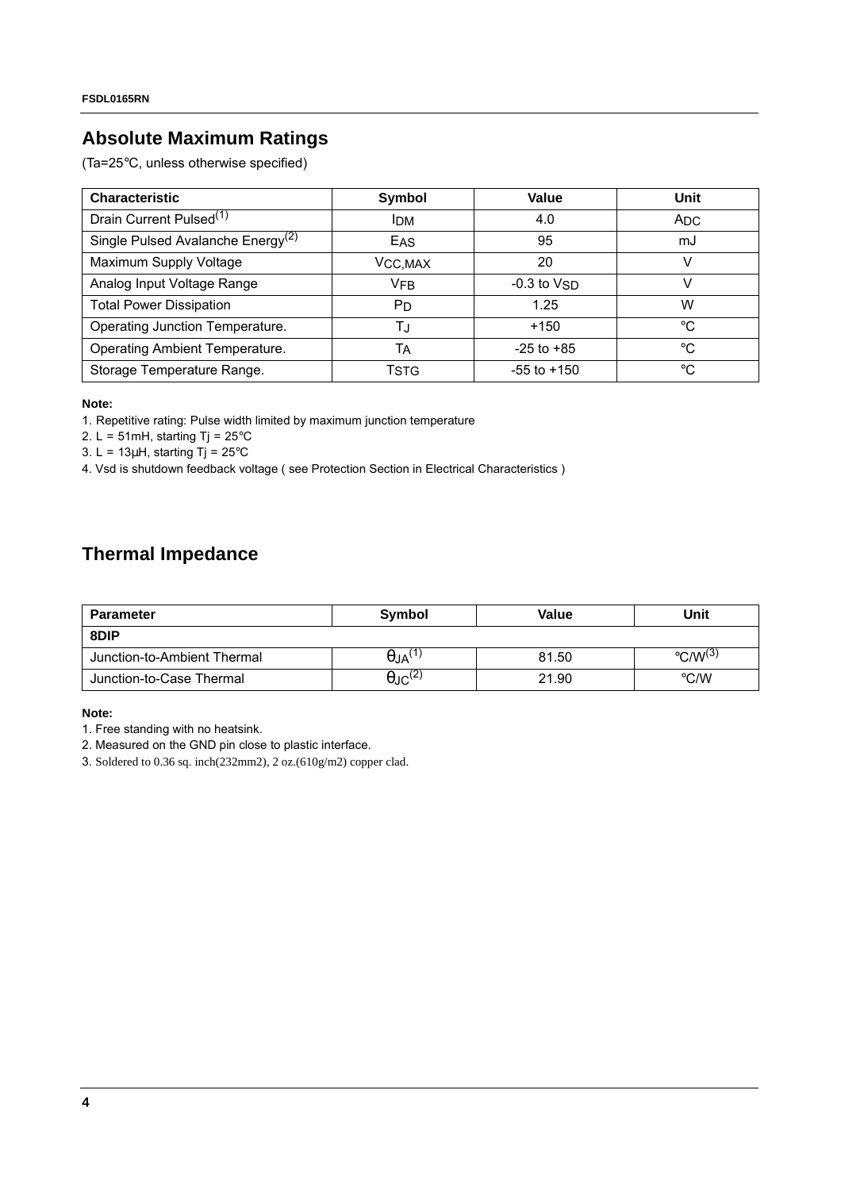### **Absolute Maximum Ratings**

(Ta=25°C, unless otherwise specified)

| <b>Characteristic</b>                         | Symbol                | Value           | Unit         |
|-----------------------------------------------|-----------------------|-----------------|--------------|
| Drain Current Pulsed <sup>(1)</sup>           | <b>IDM</b>            | 4.0             | <b>ADC</b>   |
| Single Pulsed Avalanche Energy <sup>(2)</sup> | EAS                   | 95              | mJ           |
| Maximum Supply Voltage                        | VCC, MAX              | 20              |              |
| Analog Input Voltage Range                    | <b>VFB</b>            | $-0.3$ to $VSD$ |              |
| <b>Total Power Dissipation</b>                | <b>P</b> <sub>D</sub> | 1.25            | W            |
| Operating Junction Temperature.               | T.J                   | $+150$          | $^{\circ}C$  |
| Operating Ambient Temperature.                | TA                    | $-25$ to $+85$  | $^{\circ}$ C |
| Storage Temperature Range.                    | Tstg                  | $-55$ to $+150$ | $^{\circ}C$  |

#### **Note:**

1. Repetitive rating: Pulse width limited by maximum junction temperature

2. L = 51mH, starting Tj =  $25^{\circ}$ C

3. L =  $13\mu$ H, starting Tj =  $25^{\circ}$ C

4. Vsd is shutdown feedback voltage ( see Protection Section in Electrical Characteristics )

### **Thermal Impedance**

| <b>Parameter</b>            | Symbol                     | Value | Unit                              |  |
|-----------------------------|----------------------------|-------|-----------------------------------|--|
| 8DIP                        |                            |       |                                   |  |
| Junction-to-Ambient Thermal | $\theta$ JA <sup>(1)</sup> | 81.50 | $\rm ^{\circ}$ C/W <sup>(3)</sup> |  |
| Junction-to-Case Thermal    | $\theta$ JC <sup>(2)</sup> | 21.90 | $\rm ^{\circ}$ C/W                |  |

#### **Note:**

1. Free standing with no heatsink.

2. Measured on the GND pin close to plastic interface.

3. Soldered to 0.36 sq. inch(232mm2), 2 oz.(610g/m2) copper clad.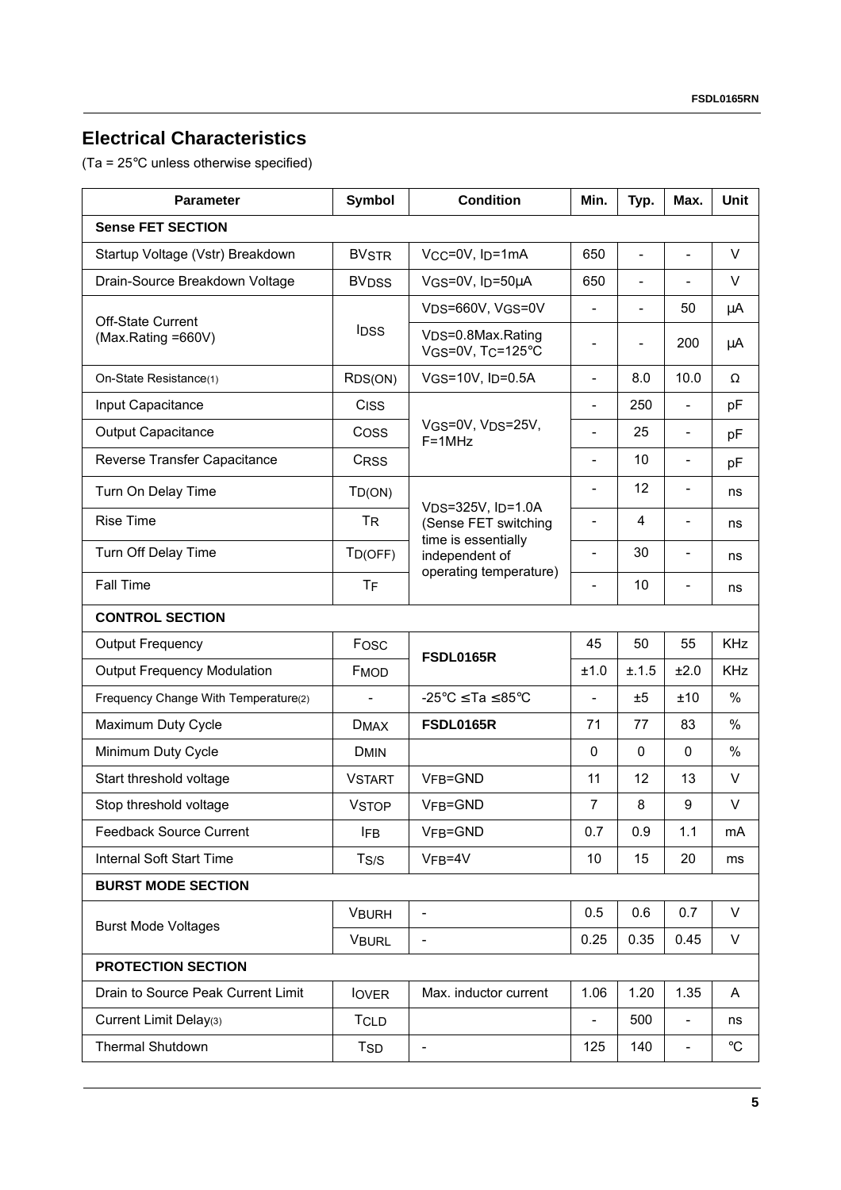### **Electrical Characteristics**

(Ta = 25°C unless otherwise specified)

| <b>Condition</b><br>Symbol<br><b>Parameter</b> |                          | Min.                                                                | Typ.                     | Max.                     | <b>Unit</b>              |               |  |
|------------------------------------------------|--------------------------|---------------------------------------------------------------------|--------------------------|--------------------------|--------------------------|---------------|--|
| <b>Sense FET SECTION</b>                       |                          |                                                                     |                          |                          |                          |               |  |
| Startup Voltage (Vstr) Breakdown               | <b>BVSTR</b>             | VCC=0V, ID=1mA                                                      | 650                      |                          | $\overline{\phantom{0}}$ | V             |  |
| Drain-Source Breakdown Voltage                 | <b>BVDSS</b>             | VGS=0V, ID=50µA                                                     | 650                      |                          |                          | V             |  |
| <b>Off-State Current</b>                       |                          | V <sub>DS</sub> =660V, V <sub>GS</sub> =0V                          | $\overline{\phantom{0}}$ | $\overline{\phantom{a}}$ | 50                       | μA            |  |
| (Max.Rating =660V)                             | <b>IDSS</b>              | V <sub>DS</sub> =0.8Max.Rating<br>VGS=0V, TC=125°C                  | -                        | $\overline{\phantom{a}}$ | 200                      | μA            |  |
| On-State Resistance(1)                         | R <sub>DS</sub> (ON)     | $V$ GS=10V, I <sub>D</sub> =0.5A                                    | $\overline{a}$           | 8.0                      | 10.0                     | $\Omega$      |  |
| Input Capacitance                              | CISS                     |                                                                     |                          | 250                      | $\equiv$                 | pF            |  |
| Output Capacitance                             | Coss                     | VGS=0V, VDS=25V,<br>$F = 1MHz$                                      |                          | 25                       | $\overline{\phantom{0}}$ | pF            |  |
| Reverse Transfer Capacitance                   | CRSS                     |                                                                     | $\overline{a}$           | 10                       | $\overline{\phantom{a}}$ | pF            |  |
| Turn On Delay Time                             | TD(ON)                   |                                                                     | $\overline{a}$           | 12                       | $\overline{\phantom{a}}$ | ns            |  |
| <b>Rise Time</b>                               | <b>TR</b>                | V <sub>DS</sub> =325V, I <sub>D</sub> =1.0A<br>(Sense FET switching | -                        | $\overline{4}$           | $\overline{\phantom{a}}$ | ns            |  |
| Turn Off Delay Time                            | $T_{D(OFF)}$             | time is essentially<br>independent of                               |                          | 30                       |                          | ns            |  |
| <b>Fall Time</b>                               | TF                       | operating temperature)                                              |                          | 10                       |                          | ns            |  |
| <b>CONTROL SECTION</b>                         |                          |                                                                     |                          |                          |                          |               |  |
| <b>Output Frequency</b>                        | Fosc                     | <b>FSDL0165R</b>                                                    | 45                       | 50                       | 55                       | <b>KHz</b>    |  |
| <b>Output Frequency Modulation</b>             | FMOD                     |                                                                     | ±1.0                     | ±.1.5                    | ±2.0                     | <b>KHz</b>    |  |
| Frequency Change With Temperature(2)           | $\overline{\phantom{0}}$ | -25°C $\le$ Ta $\le$ 85°C                                           | $\overline{a}$           | ±5                       | ±10                      | $\%$          |  |
| Maximum Duty Cycle                             | <b>DMAX</b>              | <b>FSDL0165R</b>                                                    | 71                       | 77                       | 83                       | $\%$          |  |
| Minimum Duty Cycle                             | <b>DMIN</b>              |                                                                     | $\mathbf 0$              | $\mathbf 0$              | $\mathbf{0}$             | $\frac{0}{0}$ |  |
| Start threshold voltage                        | <b>VSTART</b>            | VFB=GND                                                             | 11                       | 12                       | 13                       | $\vee$        |  |
| Stop threshold voltage                         | <b>VSTOP</b>             | VFB=GND                                                             | $\overline{7}$           | 8                        | $\boldsymbol{9}$         | V             |  |
| <b>Feedback Source Current</b>                 | <b>IFB</b>               | VFB=GND                                                             | 0.7                      | 0.9                      | 1.1                      | mA            |  |
| Internal Soft Start Time                       | T <sub>S/S</sub>         | $VFB=4V$                                                            | 10                       | 15                       | 20                       | ms            |  |
| <b>BURST MODE SECTION</b>                      |                          |                                                                     |                          |                          |                          |               |  |
| <b>Burst Mode Voltages</b>                     | <b>VBURH</b>             |                                                                     | 0.5                      | 0.6                      | 0.7                      | V             |  |
|                                                | <b>VBURL</b>             |                                                                     | 0.25                     | 0.35                     | 0.45                     | V             |  |
| <b>PROTECTION SECTION</b>                      |                          |                                                                     |                          |                          |                          |               |  |
| Drain to Source Peak Current Limit             | <b>lover</b>             | Max. inductor current                                               | 1.06                     | 1.20                     | 1.35                     | A             |  |
| Current Limit Delay(3)                         | <b>TCLD</b>              |                                                                     |                          | 500                      | $\overline{\phantom{a}}$ | ns            |  |
| Thermal Shutdown                               | <b>TSD</b>               |                                                                     | 125                      | 140                      | $\overline{\phantom{0}}$ | $^{\circ}C$   |  |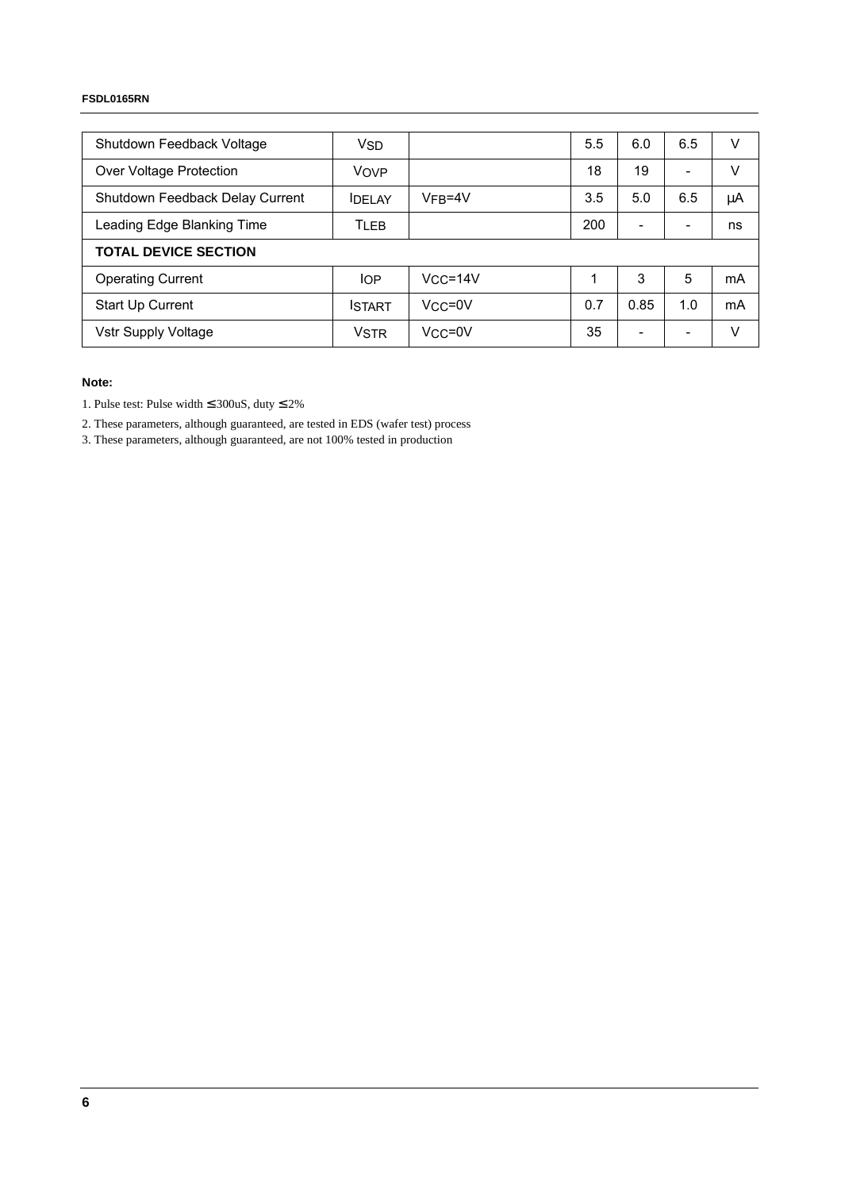#### **FSDL0165RN**

| Shutdown Feedback Voltage       | <b>V<sub>SD</sub></b> |             | 5.5 | 6.0                      | 6.5                      | v  |
|---------------------------------|-----------------------|-------------|-----|--------------------------|--------------------------|----|
| Over Voltage Protection         | VOVP                  |             | 18  | 19                       | ۰                        | v  |
| Shutdown Feedback Delay Current | <b>IDELAY</b>         | $VFB=4V$    | 3.5 | 5.0                      | 6.5                      | μA |
| Leading Edge Blanking Time      | TLEB                  |             | 200 |                          |                          | ns |
| <b>TOTAL DEVICE SECTION</b>     |                       |             |     |                          |                          |    |
| <b>Operating Current</b>        | <b>IOP</b>            | $VCC = 14V$ | 1   | 3                        | 5                        | mA |
| Start Up Current                | <b>ISTART</b>         | $Vcc = 0V$  | 0.7 | 0.85                     | 1.0                      | mA |
| Vstr Supply Voltage             | <b>VSTR</b>           | $Vcc = 0V$  | 35  | $\overline{\phantom{0}}$ | $\overline{\phantom{0}}$ | V  |

#### **Note:**

1. Pulse test: Pulse width  $\leq$  300uS, duty  $\leq$  2%

2. These parameters, although guaranteed, are tested in EDS (wafer test) process

3. These parameters, although guaranteed, are not 100% tested in production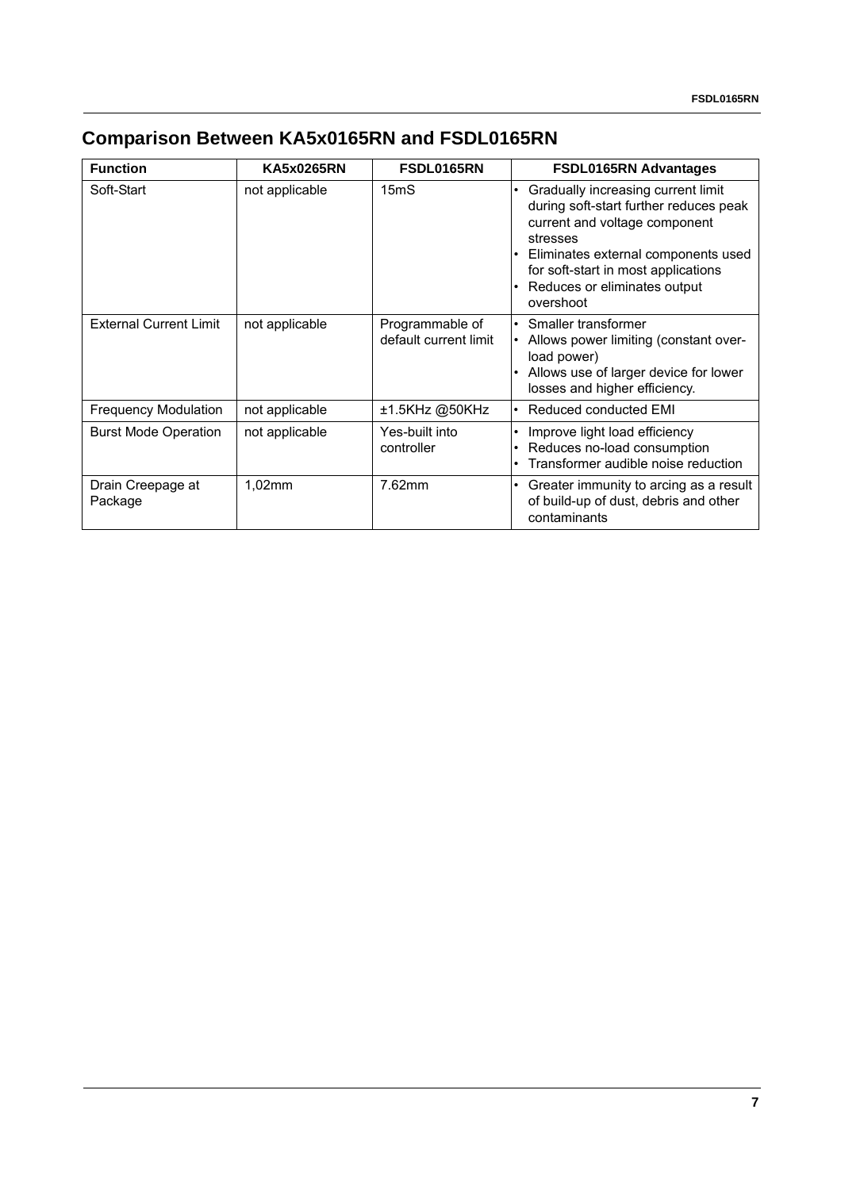## **Comparison Between KA5x0165RN and FSDL0165RN**

| <b>Function</b>               | <b>KA5x0265RN</b> | FSDL0165RN                               | <b>FSDL0165RN Advantages</b>                                                                                                                                                                                                                           |
|-------------------------------|-------------------|------------------------------------------|--------------------------------------------------------------------------------------------------------------------------------------------------------------------------------------------------------------------------------------------------------|
| Soft-Start                    | not applicable    | 15 <sub>m</sub> S                        | Gradually increasing current limit<br>during soft-start further reduces peak<br>current and voltage component<br>stresses<br>• Eliminates external components used<br>for soft-start in most applications<br>Reduces or eliminates output<br>overshoot |
| <b>External Current Limit</b> | not applicable    | Programmable of<br>default current limit | • Smaller transformer<br>Allows power limiting (constant over-<br>load power)<br>Allows use of larger device for lower<br>losses and higher efficiency.                                                                                                |
| <b>Frequency Modulation</b>   | not applicable    | ±1.5KHz @50KHz                           | · Reduced conducted EMI                                                                                                                                                                                                                                |
| <b>Burst Mode Operation</b>   | not applicable    | Yes-built into<br>controller             | Improve light load efficiency<br>Reduces no-load consumption<br>Transformer audible noise reduction                                                                                                                                                    |
| Drain Creepage at<br>Package  | 1,02mm            | 7.62mm                                   | Greater immunity to arcing as a result<br>$\bullet$<br>of build-up of dust, debris and other<br>contaminants                                                                                                                                           |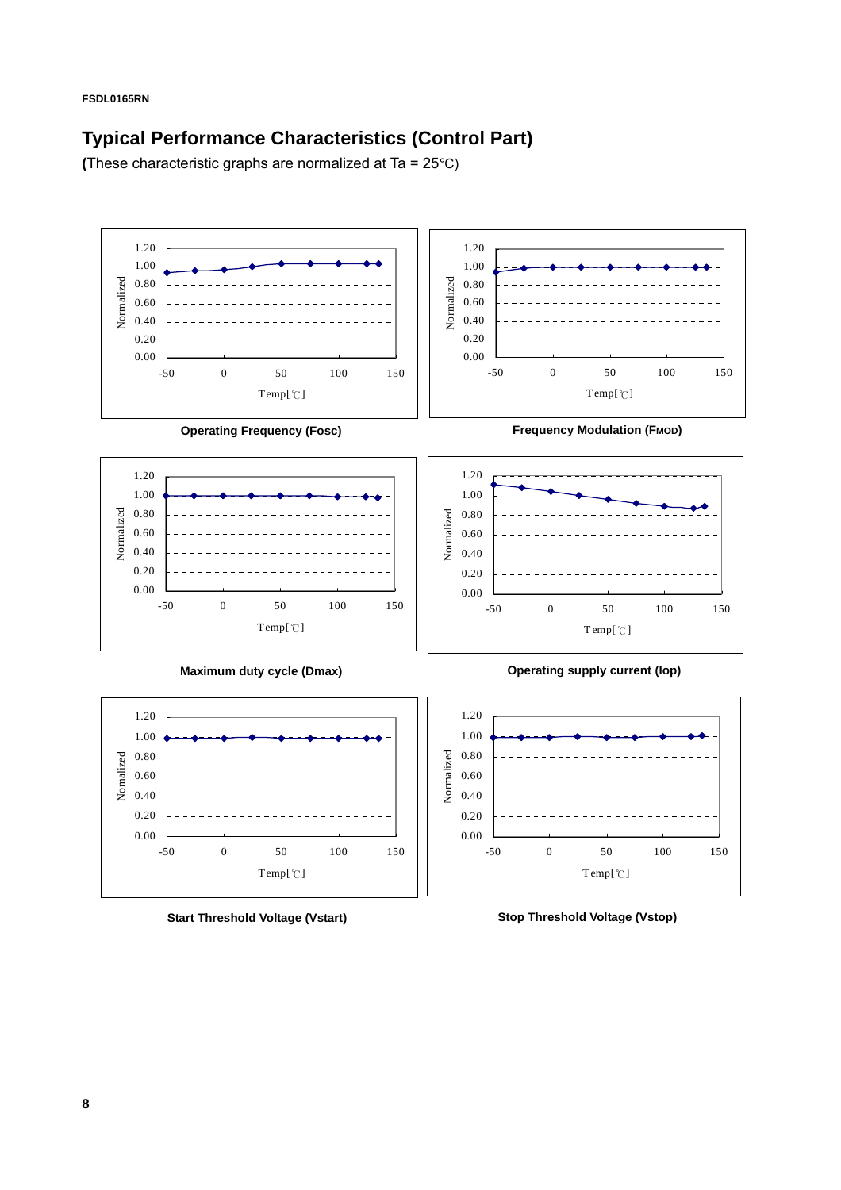### **Typical Performance Characteristics (Control Part)**

**(**These characteristic graphs are normalized at Ta = 25°C)



**Start Threshold Voltage (Vstart)**

-50 0 50 100 150 Temp[℃]

**Stop Threshold Voltage (Vstop)**

-50 0 50 100 150 Temp[℃]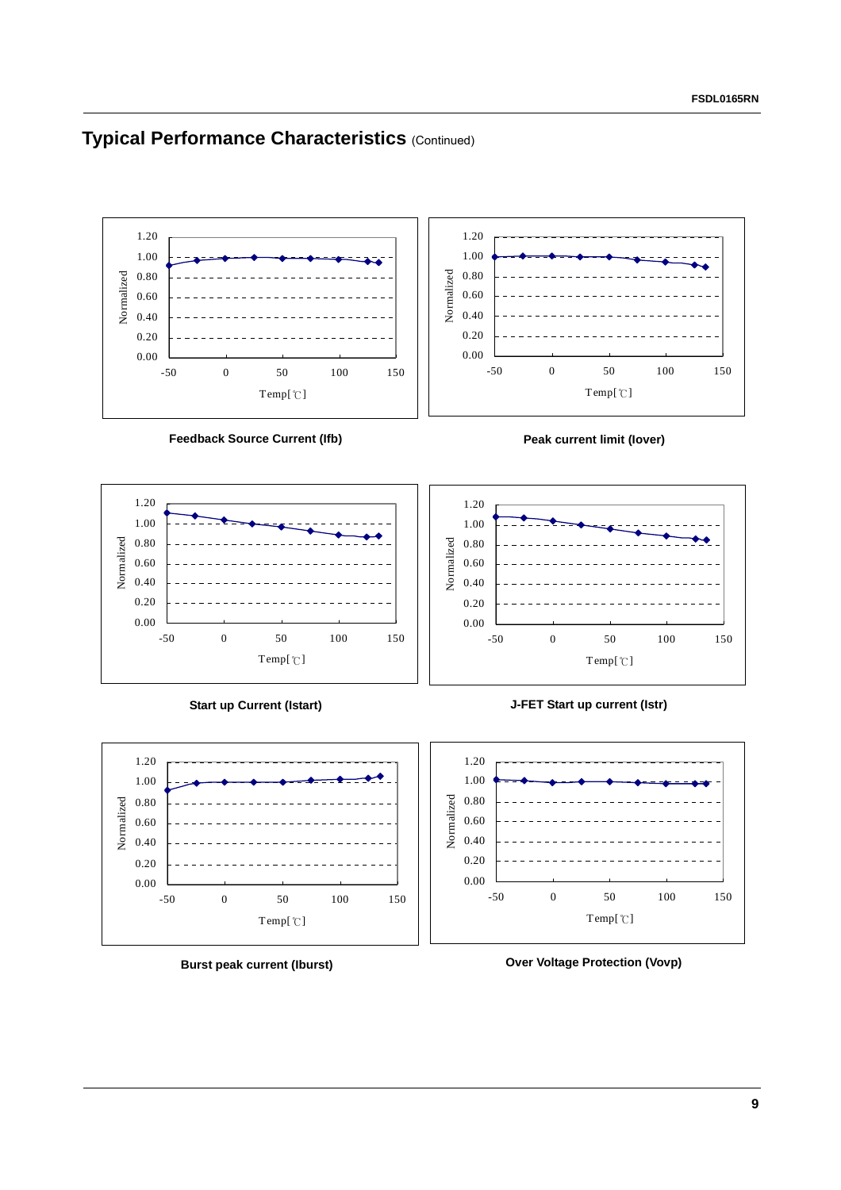### **Typical Performance Characteristics (Continued)**



**Burst peak current (Iburst)**

**Over Voltage Protection (Vovp)**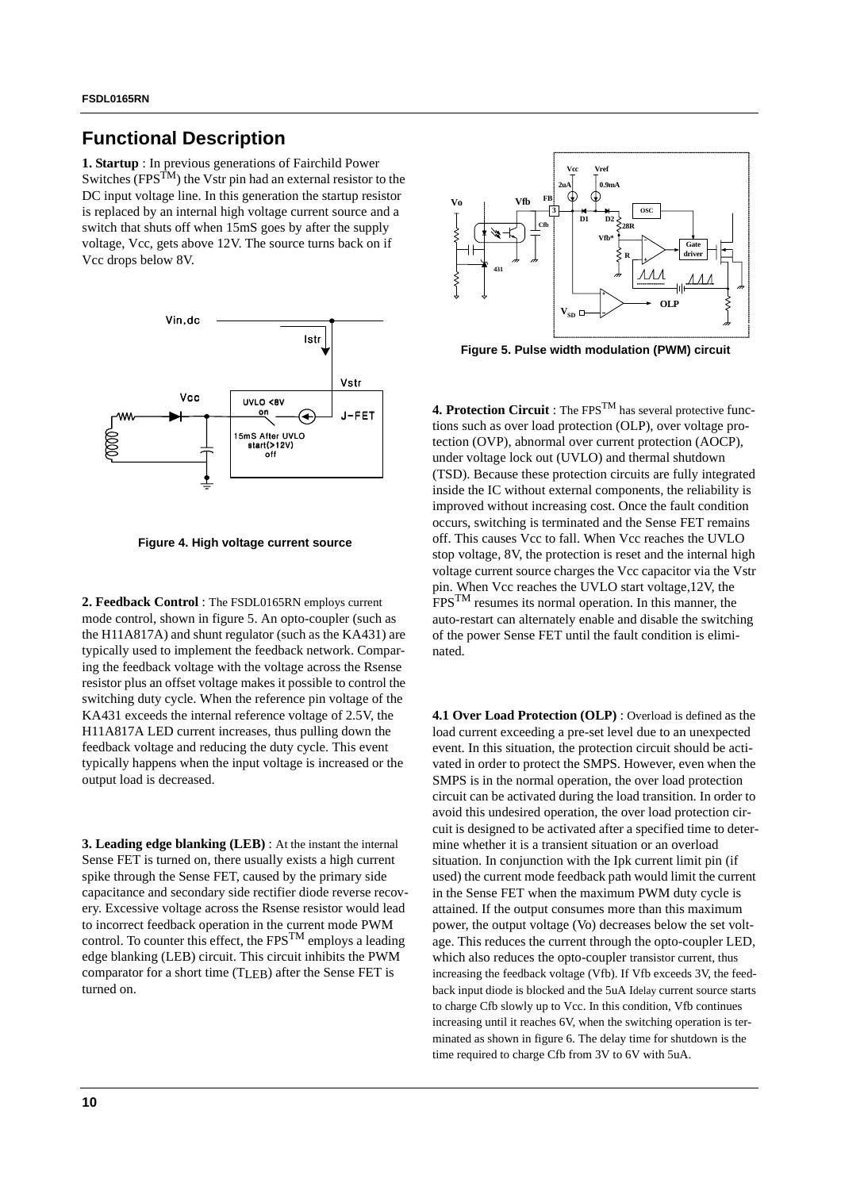#### **Functional Description**

**1. Startup** : In previous generations of Fairchild Power Switches  $(FPS^{TM})$  the Vstr pin had an external resistor to the DC input voltage line. In this generation the startup resistor is replaced by an internal high voltage current source and a switch that shuts off when 15mS goes by after the supply voltage, Vcc, gets above 12V. The source turns back on if Vcc drops below 8V.



**Figure 4. High voltage current source**

**2. Feedback Control** : The FSDL0165RN employs current mode control, shown in figure 5. An opto-coupler (such as the H11A817A) and shunt regulator (such as the KA431) are typically used to implement the feedback network. Comparing the feedback voltage with the voltage across the Rsense resistor plus an offset voltage makes it possible to control the switching duty cycle. When the reference pin voltage of the KA431 exceeds the internal reference voltage of 2.5V, the H11A817A LED current increases, thus pulling down the feedback voltage and reducing the duty cycle. This event typically happens when the input voltage is increased or the output load is decreased.

**3. Leading edge blanking (LEB)** : At the instant the internal Sense FET is turned on, there usually exists a high current spike through the Sense FET, caused by the primary side capacitance and secondary side rectifier diode reverse recovery. Excessive voltage across the Rsense resistor would lead to incorrect feedback operation in the current mode PWM control. To counter this effect, the  $FPS^{TM}$  employs a leading edge blanking (LEB) circuit. This circuit inhibits the PWM comparator for a short time (TLEB) after the Sense FET is turned on.



**Figure 5. Pulse width modulation (PWM) circuit**

**4. Protection Circuit** : The FPSTM has several protective functions such as over load protection (OLP), over voltage protection (OVP), abnormal over current protection (AOCP), under voltage lock out (UVLO) and thermal shutdown (TSD). Because these protection circuits are fully integrated inside the IC without external components, the reliability is improved without increasing cost. Once the fault condition occurs, switching is terminated and the Sense FET remains off. This causes Vcc to fall. When Vcc reaches the UVLO stop voltage, 8V, the protection is reset and the internal high voltage current source charges the Vcc capacitor via the Vstr pin. When Vcc reaches the UVLO start voltage,12V, the FPSTM resumes its normal operation. In this manner, the auto-restart can alternately enable and disable the switching of the power Sense FET until the fault condition is eliminated.

**4.1 Over Load Protection (OLP)** : Overload is defined as the load current exceeding a pre-set level due to an unexpected event. In this situation, the protection circuit should be activated in order to protect the SMPS. However, even when the SMPS is in the normal operation, the over load protection circuit can be activated during the load transition. In order to avoid this undesired operation, the over load protection circuit is designed to be activated after a specified time to determine whether it is a transient situation or an overload situation. In conjunction with the Ipk current limit pin (if used) the current mode feedback path would limit the current in the Sense FET when the maximum PWM duty cycle is attained. If the output consumes more than this maximum power, the output voltage (Vo) decreases below the set voltage. This reduces the current through the opto-coupler LED, which also reduces the opto-coupler transistor current, thus increasing the feedback voltage (Vfb). If Vfb exceeds 3V, the feedback input diode is blocked and the 5uA Idelay current source starts to charge Cfb slowly up to Vcc. In this condition, Vfb continues increasing until it reaches 6V, when the switching operation is terminated as shown in figure 6. The delay time for shutdown is the time required to charge Cfb from 3V to 6V with 5uA.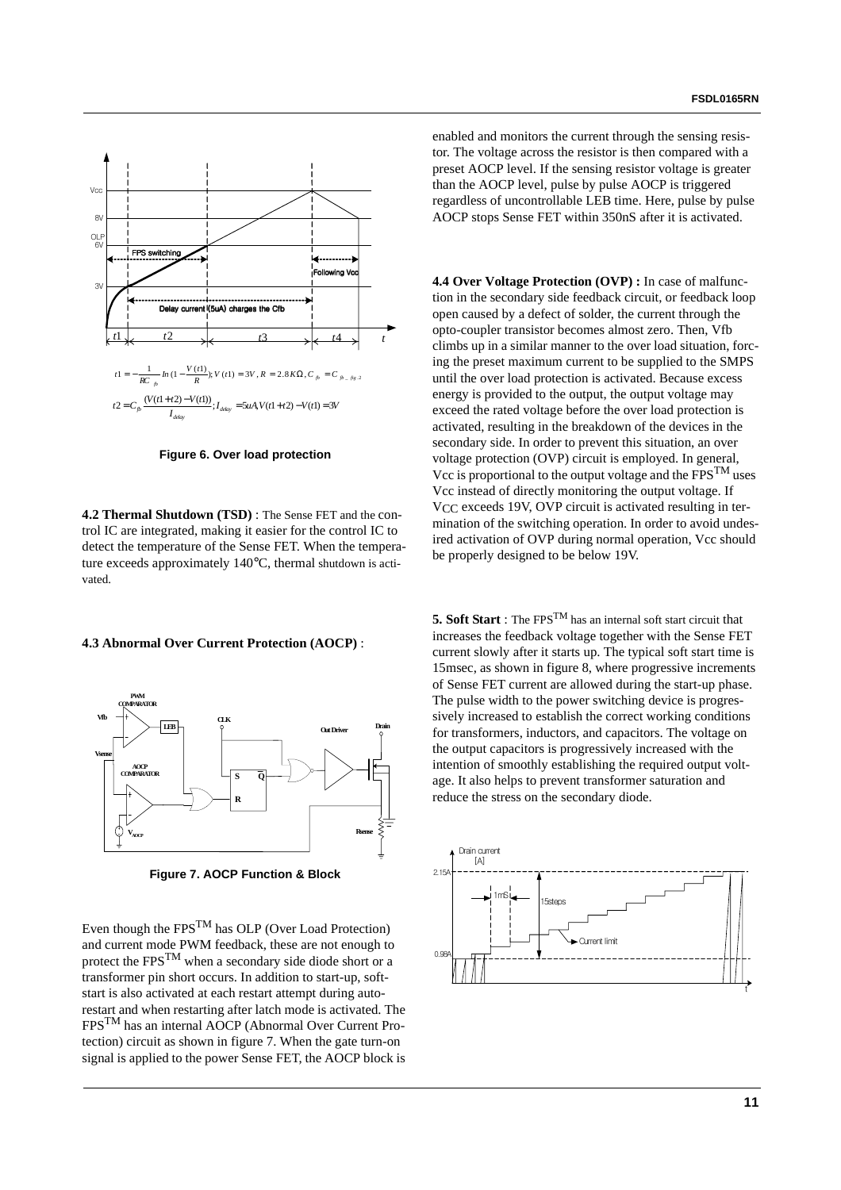

**Figure 6. Over load protection**

**4.2 Thermal Shutdown (TSD)** : The Sense FET and the control IC are integrated, making it easier for the control IC to detect the temperature of the Sense FET. When the temperature exceeds approximately 140°C, thermal shutdown is activated.

#### **4.3 Abnormal Over Current Protection (AOCP)** :



**Figure 7. AOCP Function & Block**

Even though the  $\text{FPS}^{\text{TM}}$  has OLP (Over Load Protection) and current mode PWM feedback, these are not enough to protect the  $FPS<sup>TM</sup>$  when a secondary side diode short or a transformer pin short occurs. In addition to start-up, softstart is also activated at each restart attempt during autorestart and when restarting after latch mode is activated. The FPSTM has an internal AOCP (Abnormal Over Current Protection) circuit as shown in figure 7. When the gate turn-on signal is applied to the power Sense FET, the AOCP block is enabled and monitors the current through the sensing resistor. The voltage across the resistor is then compared with a preset AOCP level. If the sensing resistor voltage is greater than the AOCP level, pulse by pulse AOCP is triggered regardless of uncontrollable LEB time. Here, pulse by pulse AOCP stops Sense FET within 350nS after it is activated.

**4.4 Over Voltage Protection (OVP) :** In case of malfunction in the secondary side feedback circuit, or feedback loop open caused by a defect of solder, the current through the opto-coupler transistor becomes almost zero. Then, Vfb climbs up in a similar manner to the over load situation, forcing the preset maximum current to be supplied to the SMPS until the over load protection is activated. Because excess energy is provided to the output, the output voltage may exceed the rated voltage before the over load protection is activated, resulting in the breakdown of the devices in the secondary side. In order to prevent this situation, an over voltage protection (OVP) circuit is employed. In general, Vcc is proportional to the output voltage and the  $FPS^{TM}$  uses Vcc instead of directly monitoring the output voltage. If V<sub>CC</sub> exceeds 19V, OVP circuit is activated resulting in termination of the switching operation. In order to avoid undesired activation of OVP during normal operation, Vcc should be properly designed to be below 19V.

**5. Soft Start** : The FPSTM has an internal soft start circuit that increases the feedback voltage together with the Sense FET current slowly after it starts up. The typical soft start time is 15msec, as shown in figure 8, where progressive increments of Sense FET current are allowed during the start-up phase. The pulse width to the power switching device is progressively increased to establish the correct working conditions for transformers, inductors, and capacitors. The voltage on the output capacitors is progressively increased with the intention of smoothly establishing the required output voltage. It also helps to prevent transformer saturation and reduce the stress on the secondary diode.

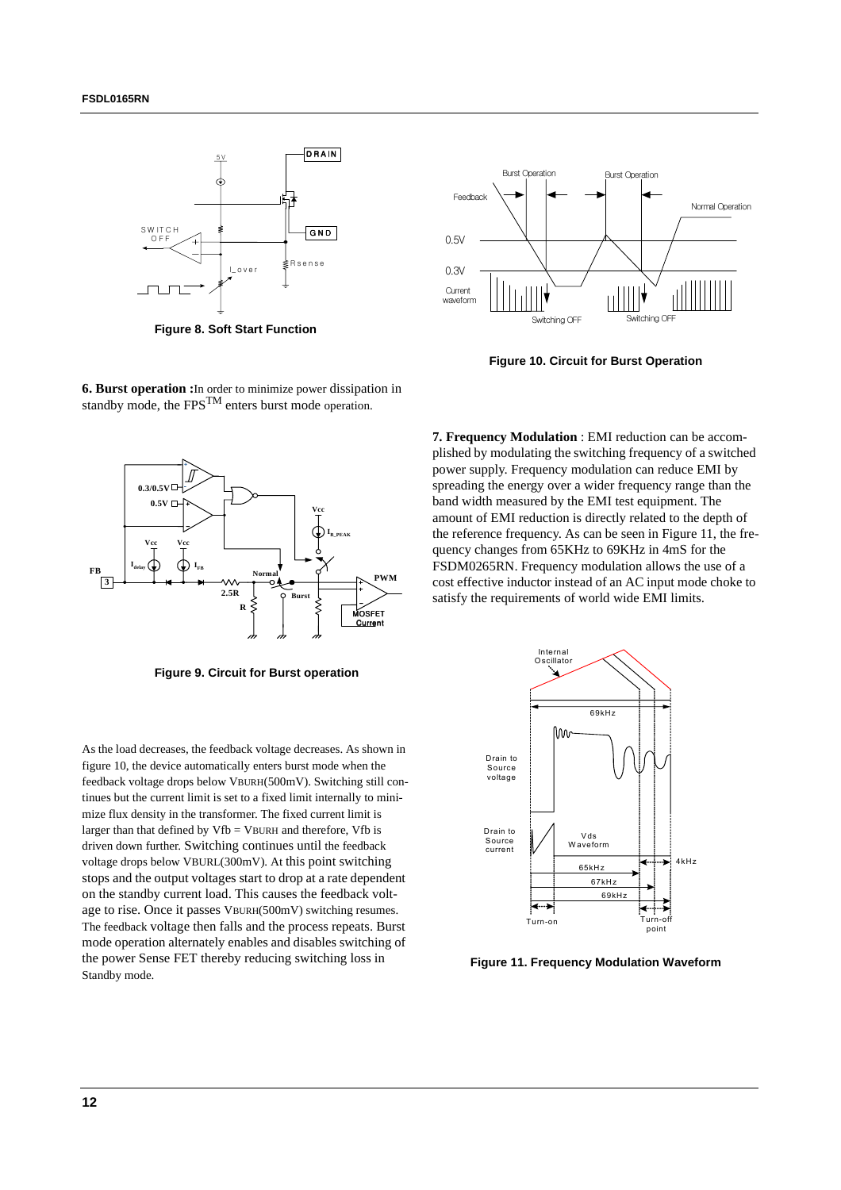

**Figure 8. Soft Start Function**



**Figure 10. Circuit for Burst Operation**

**6. Burst operation :**In order to minimize power dissipation in standby mode, the  $FPS<sup>TM</sup>$  enters burst mode operation.



**Figure 9. Circuit for Burst operation**

As the load decreases, the feedback voltage decreases. As shown in figure 10, the device automatically enters burst mode when the feedback voltage drops below VBURH(500mV). Switching still continues but the current limit is set to a fixed limit internally to minimize flux density in the transformer. The fixed current limit is larger than that defined by  $Vfb = VBURH$  and therefore,  $Vfb$  is driven down further. Switching continues until the feedback voltage drops below VBURL(300mV). At this point switching stops and the output voltages start to drop at a rate dependent on the standby current load. This causes the feedback voltage to rise. Once it passes VBURH(500mV) switching resumes. The feedback voltage then falls and the process repeats. Burst mode operation alternately enables and disables switching of the power Sense FET thereby reducing switching loss in Standby mode.

**7. Frequency Modulation** : EMI reduction can be accomplished by modulating the switching frequency of a switched power supply. Frequency modulation can reduce EMI by spreading the energy over a wider frequency range than the band width measured by the EMI test equipment. The amount of EMI reduction is directly related to the depth of the reference frequency. As can be seen in Figure 11, the frequency changes from 65KHz to 69KHz in 4mS for the FSDM0265RN. Frequency modulation allows the use of a cost effective inductor instead of an AC input mode choke to satisfy the requirements of world wide EMI limits.



**Figure 11. Frequency Modulation Waveform**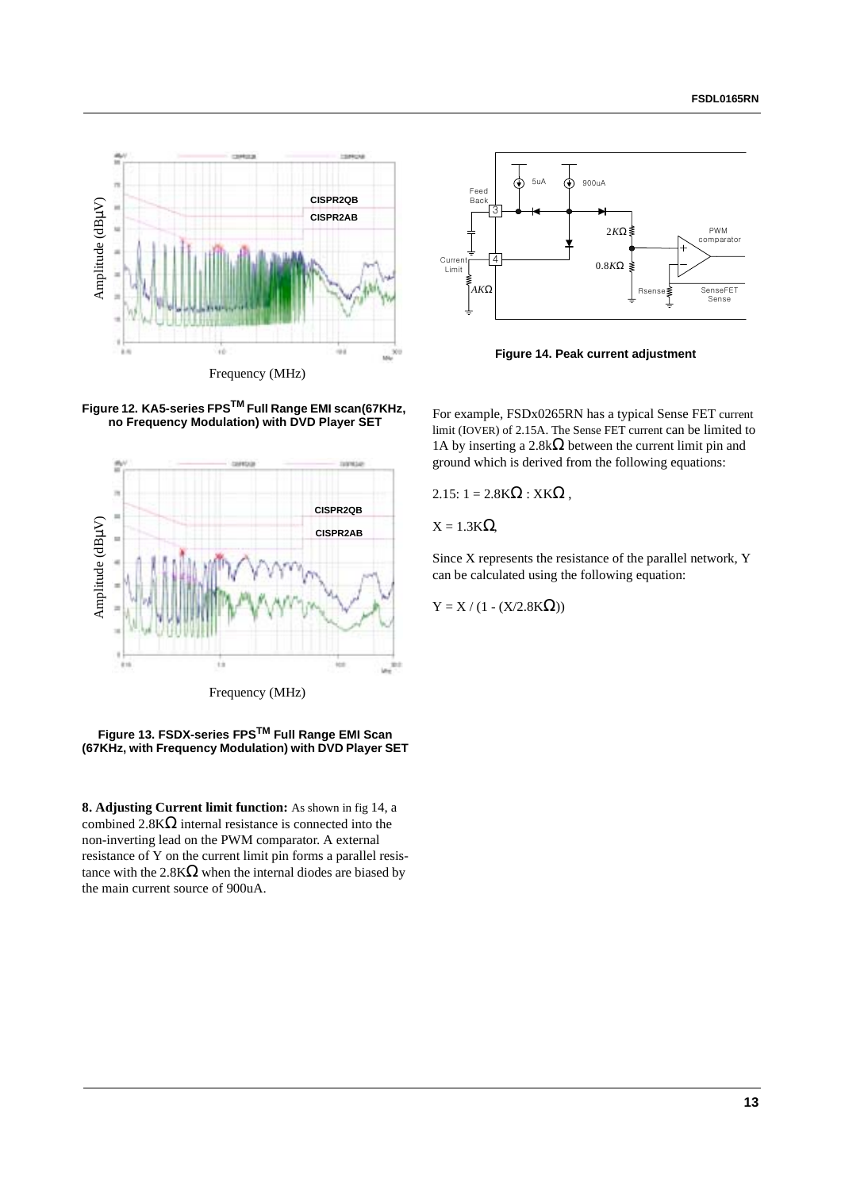



**Figure 14. Peak current adjustment**

**Figure 12. KA5-series FPSTM Full Range EMI scan(67KHz, no Frequency Modulation) with DVD Player SET**





**8. Adjusting Current limit function:** As shown in fig 14, a combined  $2.8K\Omega$  internal resistance is connected into the non-inverting lead on the PWM comparator. A external resistance of Y on the current limit pin forms a parallel resistance with the  $2.8K\Omega$  when the internal diodes are biased by the main current source of 900uA.

For example, FSDx0265RN has a typical Sense FET current limit (IOVER) of 2.15A. The Sense FET current can be limited to 1A by inserting a  $2.8k\Omega$  between the current limit pin and ground which is derived from the following equations:

2.15:  $1 = 2.8K\Omega$  : XK $\Omega$ ,

 $X = 1.3K\Omega$ 

Since X represents the resistance of the parallel network, Y can be calculated using the following equation:

 $Y = X / (1 - (X/2.8K\Omega))$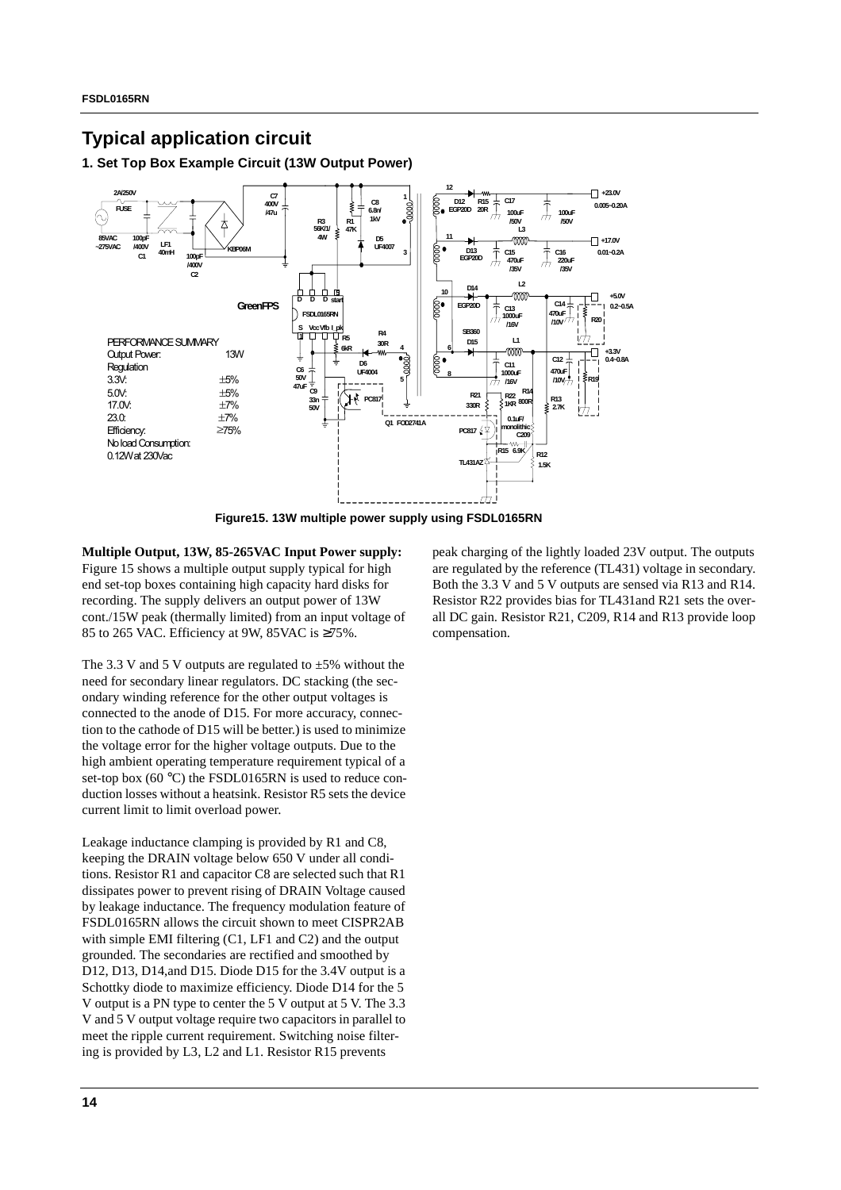### **Typical application circuit**

**1. Set Top Box Example Circuit (13W Output Power)**



**Figure15. 13W multiple power supply using FSDL0165RN**

**Multiple Output, 13W, 85-265VAC Input Power supply:** Figure 15 shows a multiple output supply typical for high end set-top boxes containing high capacity hard disks for recording. The supply delivers an output power of 13W cont./15W peak (thermally limited) from an input voltage of 85 to 265 VAC. Efficiency at 9W, 85VAC is  $\geq 75\%$ .

The 3.3 V and 5 V outputs are regulated to  $\pm$ 5% without the need for secondary linear regulators. DC stacking (the secondary winding reference for the other output voltages is connected to the anode of D15. For more accuracy, connection to the cathode of D15 will be better.) is used to minimize the voltage error for the higher voltage outputs. Due to the high ambient operating temperature requirement typical of a set-top box (60 °C) the FSDL0165RN is used to reduce conduction losses without a heatsink. Resistor R5 sets the device current limit to limit overload power.

Leakage inductance clamping is provided by R1 and C8, keeping the DRAIN voltage below 650 V under all conditions. Resistor R1 and capacitor C8 are selected such that R1 dissipates power to prevent rising of DRAIN Voltage caused by leakage inductance. The frequency modulation feature of FSDL0165RN allows the circuit shown to meet CISPR2AB with simple EMI filtering (C1, LF1 and C2) and the output grounded. The secondaries are rectified and smoothed by D12, D13, D14,and D15. Diode D15 for the 3.4V output is a Schottky diode to maximize efficiency. Diode D14 for the 5 V output is a PN type to center the 5 V output at 5 V. The 3.3 V and 5 V output voltage require two capacitors in parallel to meet the ripple current requirement. Switching noise filtering is provided by L3, L2 and L1. Resistor R15 prevents

peak charging of the lightly loaded 23V output. The outputs are regulated by the reference (TL431) voltage in secondary. Both the 3.3 V and 5 V outputs are sensed via R13 and R14. Resistor R22 provides bias for TL431and R21 sets the overall DC gain. Resistor R21, C209, R14 and R13 provide loop compensation.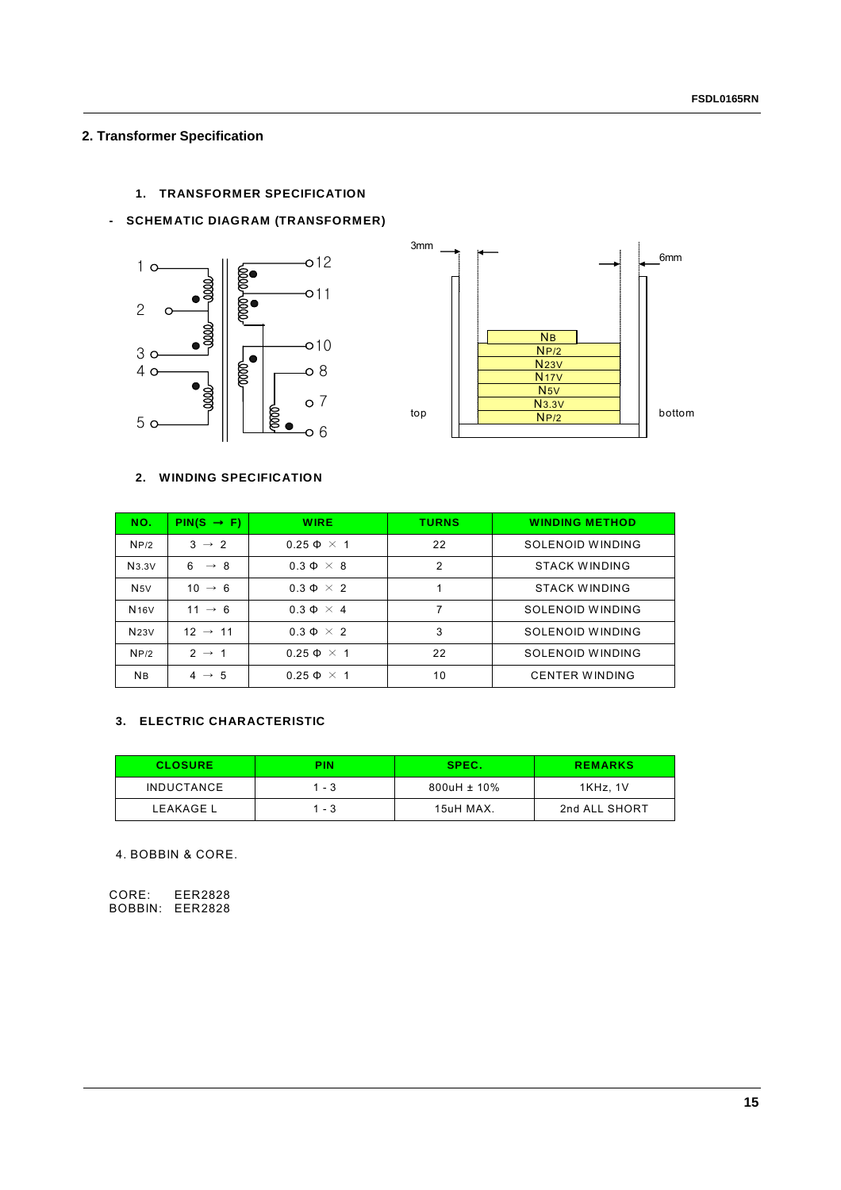#### **2. Transformer Specification**

#### **1. TRANSFORMER SPECIFICATION**

#### **- SCHEMATIC DIAGRAM (TRANSFORMER)**





#### **2. WINDING SPECIFICATION**

| NO.              | $PIN(S \rightarrow F)$ | <b>WIRE</b>          | <b>TURNS</b>   | <b>WINDING METHOD</b> |
|------------------|------------------------|----------------------|----------------|-----------------------|
| NP/2             | $3 \rightarrow 2$      | $0.25 \Phi \times 1$ | 22             | SOLENOID WINDING      |
| N3.3V            | $6 \rightarrow 8$      | $0.3 \Phi \times 8$  | $\overline{2}$ | <b>STACK WINDING</b>  |
| N5V              | $10 \rightarrow 6$     | $0.3 \Phi \times 2$  |                | <b>STACK WINDING</b>  |
| N <sub>16V</sub> | $11 \rightarrow 6$     | $0.3 \Phi \times 4$  | 7              | SOLENOID WINDING      |
| N23V             | $12 \rightarrow 11$    | $0.3 \Phi \times 2$  | 3              | SOLENOID WINDING      |
| NP/2             | $2 \rightarrow 1$      | $0.25 \Phi \times 1$ | 22             | SOLENOID WINDING      |
| <b>NB</b>        | $4 \rightarrow 5$      | $0.25 \Phi \times 1$ | 10             | <b>CENTER WINDING</b> |

#### **3. ELECTRIC CHARACTERISTIC**

| <b>CLOSURE</b>    | PIN   | SPEC.            | <b>REMARKS</b> |
|-------------------|-------|------------------|----------------|
| <b>INDUCTANCE</b> | 1 - 3 | $800uH \pm 10\%$ | 1KHz. 1V       |
| LEAKAGE L         | 1 - 3 | 15uH MAX.        | 2nd ALL SHORT  |

4. BOBBIN & CORE.

CORE: EER2828 BOBBIN: EER2828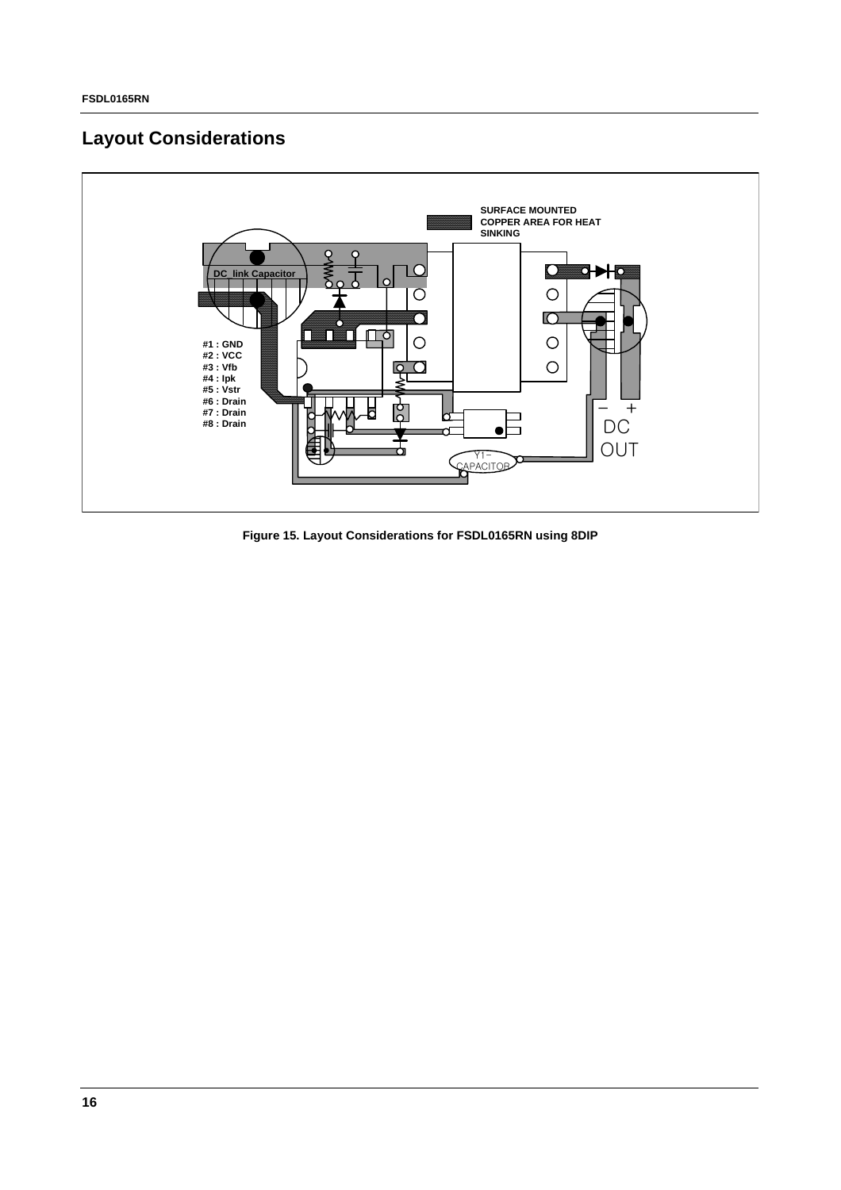### **Layout Considerations**



**Figure 15. Layout Considerations for FSDL0165RN using 8DIP**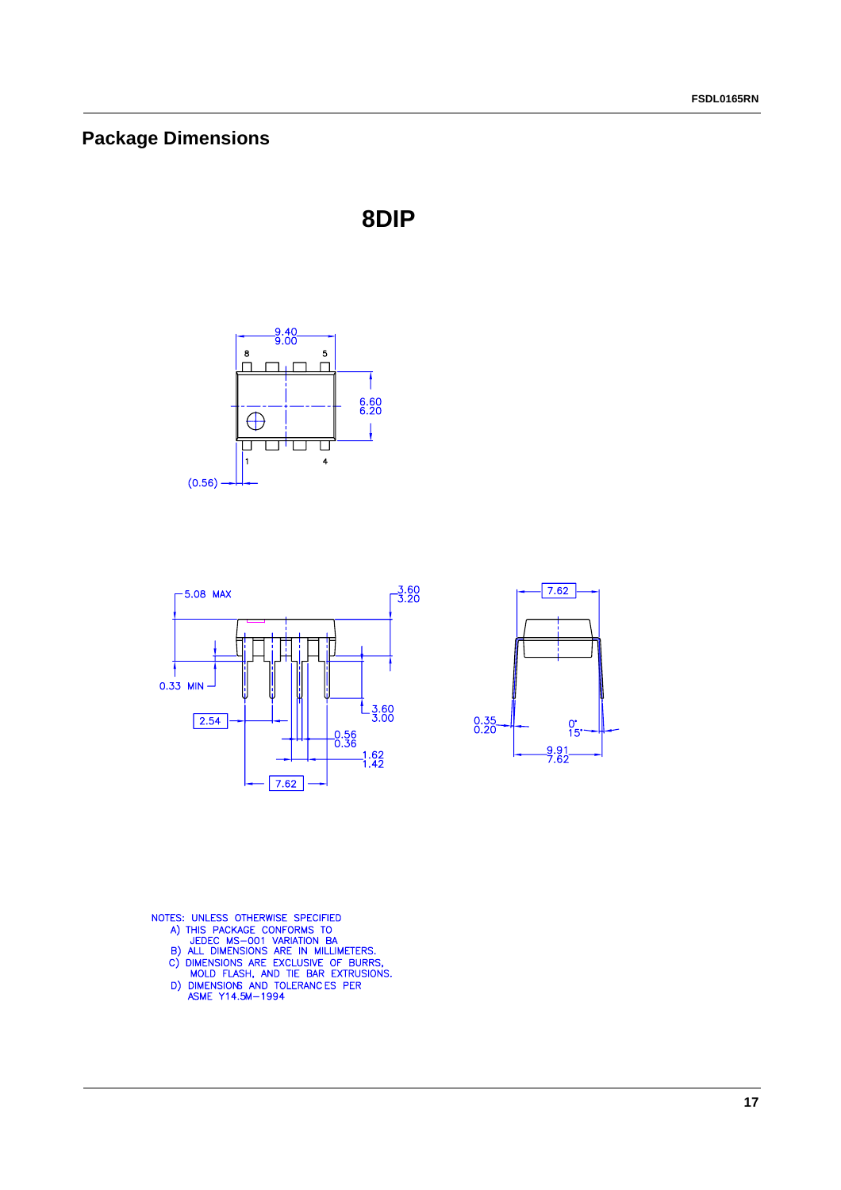### **Package Dimensions**









- 
- 
- 
- 
- NOTES: UNLESS OTHERWISE SPECIFIED<br>A) THIS PACKAGE CONFORMS TO<br>JEDEC MS-001 VARIATION BA<br>B) ALL DIMENSIONS ARE IN MILLIMETERS.<br>C) DIMENSIONS ARE EXCLUSIVE OF BURRS,<br>MOLD FLASH, AND TIE BAR EXTRUSIONS.<br>D) DIMENSIONS AND TOLE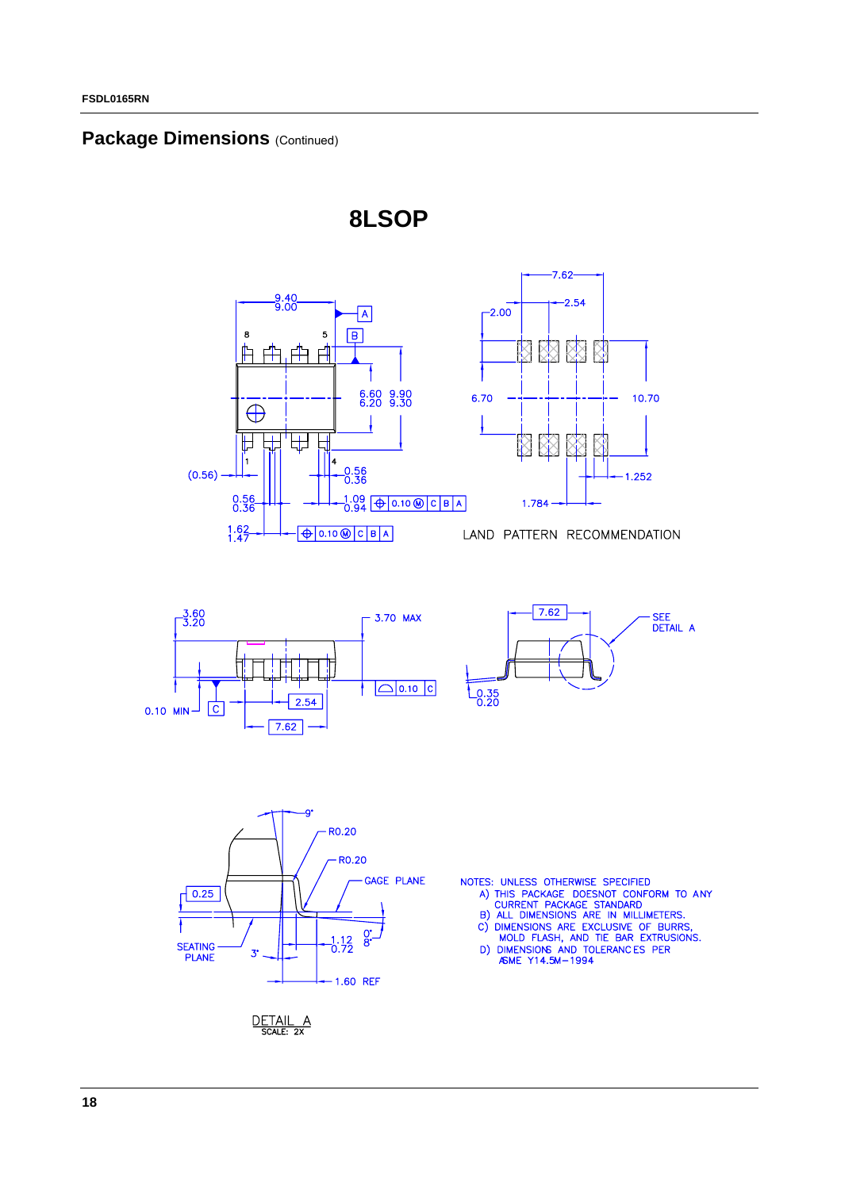#### **Package Dimensions (Continued)**



**8LSOP**





10.70

1.252





- 
- 
- 

DETAIL A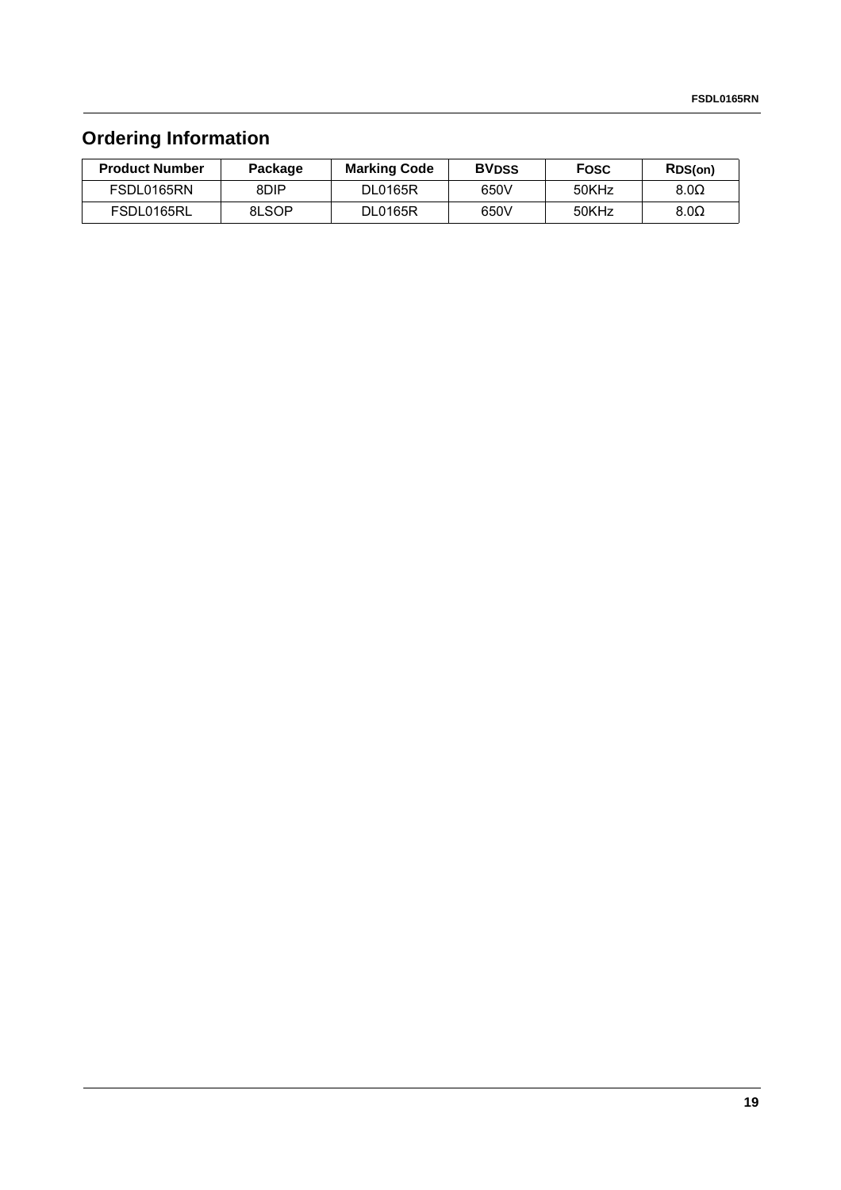## **Ordering Information**

| <b>Product Number</b> | Package | <b>Marking Code</b> | <b>BVDSS</b> | <b>Fosc</b> | RDS(on)     |
|-----------------------|---------|---------------------|--------------|-------------|-------------|
| FSDL0165RN            | 8DIP    | <b>DL0165R</b>      | 650V         | 50KHz       | $8.0\Omega$ |
| FSDL0165RL            | 8LSOP   | <b>DL0165R</b>      | 650V         | 50KHz       | $8.0\Omega$ |